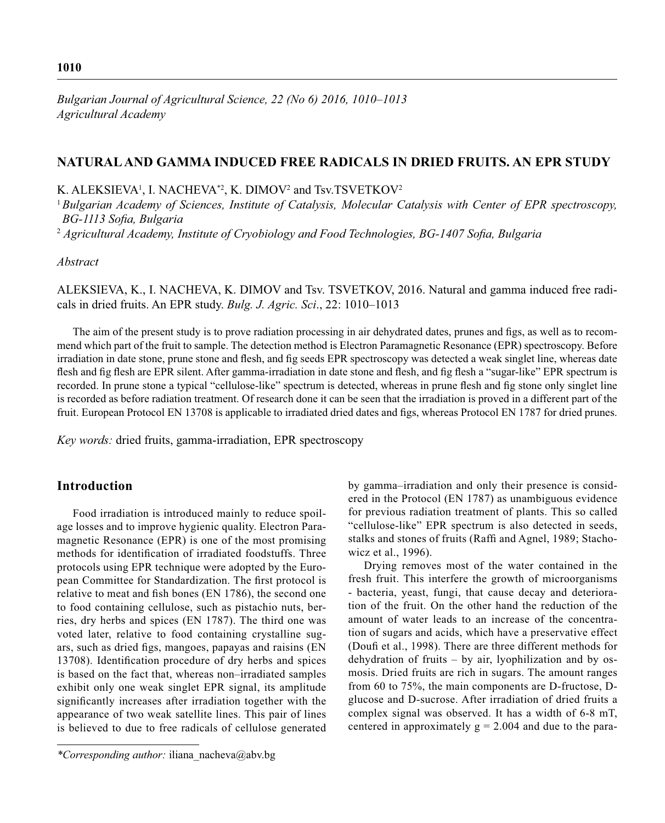*Bulgarian Journal of Agricultural Science, 22 (No 6) 2016, 1010–1013 Agricultural Academy*

# **NATURAL AND GAMMA INDUCED FREE RADICALS IN DRIED FRUITS. AN EPR STUDY**

K. ALEKSIEVA<sup>1</sup>, I. NACHEVA<sup>\*2</sup>, K. DIMOV<sup>2</sup> and Tsv.TSVETKOV<sup>2</sup>

<sup>1</sup>*Bulgarian Academy of Sciences, Institute of Catalysis, Molecular Catalysis with Center of EPR spectroscopy, BG-1113 Sofia, Bulgaria* 

<sup>2</sup> Agricultural Academy, Institute of Cryobiology and Food Technologies, BG-1407 Sofia, Bulgaria

*Abstract*

ALEKSIEVA, K., I. NACHEVA, K. DIMOV and Tsv. TSVETKOV, 2016. Natural and gamma induced free radicals in dried fruits. An EPR study. *Bulg. J. Agric. Sci*., 22: 1010–1013

The aim of the present study is to prove radiation processing in air dehydrated dates, prunes and figs, as well as to recommend which part of the fruit to sample. The detection method is Electron Paramagnetic Resonance (EPR) spectroscopy. Before irradiation in date stone, prune stone and flesh, and fig seeds EPR spectroscopy was detected a weak singlet line, whereas date flesh and fig flesh are EPR silent. After gamma-irradiation in date stone and flesh, and fig flesh a "sugar-like" EPR spectrum is recorded. In prune stone a typical "cellulose-like" spectrum is detected, whereas in prune flesh and fig stone only singlet line is recorded as before radiation treatment. Of research done it can be seen that the irradiation is proved in a different part of the fruit. European Protocol EN 13708 is applicable to irradiated dried dates and figs, whereas Protocol EN 1787 for dried prunes.

*Key words:* dried fruits, gamma-irradiation, EPR spectroscopy

## **Introduction**

Food irradiation is introduced mainly to reduce spoilage losses and to improve hygienic quality. Electron Paramagnetic Resonance (EPR) is one of the most promising methods for identification of irradiated foodstuffs. Three protocols using EPR technique were adopted by the European Committee for Standardization. The first protocol is relative to meat and fish bones (EN 1786), the second one to food containing cellulose, such as pistachio nuts, berries, dry herbs and spices (EN 1787). The third one was voted later, relative to food containing crystalline sugars, such as dried figs, mangoes, papayas and raisins (EN 13708). Identification procedure of dry herbs and spices is based on the fact that, whereas non–irradiated samples exhibit only one weak singlet EPR signal, its amplitude significantly increases after irradiation together with the appearance of two weak satellite lines. This pair of lines is believed to due to free radicals of cellulose generated by gamma–irradiation and only their presence is considered in the Protocol (EN 1787) as unambiguous evidence for previous radiation treatment of plants. This so called "cellulose-like" EPR spectrum is also detected in seeds, stalks and stones of fruits (Raffi and Agnel, 1989; Stachowicz et al., 1996).

Drying removes most of the water contained in the fresh fruit. This interfere the growth of microorganisms - bacteria, yeast, fungi, that cause decay and deterioration of the fruit. On the other hand the reduction of the amount of water leads to an increase of the concentration of sugars and acids, which have a preservative effect (Doufi et al., 1998). There are three different methods for dehydration of fruits – by air, lyophilization and by osmosis. Dried fruits are rich in sugars. The amount ranges from 60 to 75%, the main components are D-fructose, Dglucose and D-sucrose. After irradiation of dried fruits a complex signal was observed. It has a width of 6-8 mT, centered in approximately  $g = 2.004$  and due to the para-

*<sup>\*</sup>Corresponding author:* iliana\_nacheva@abv.bg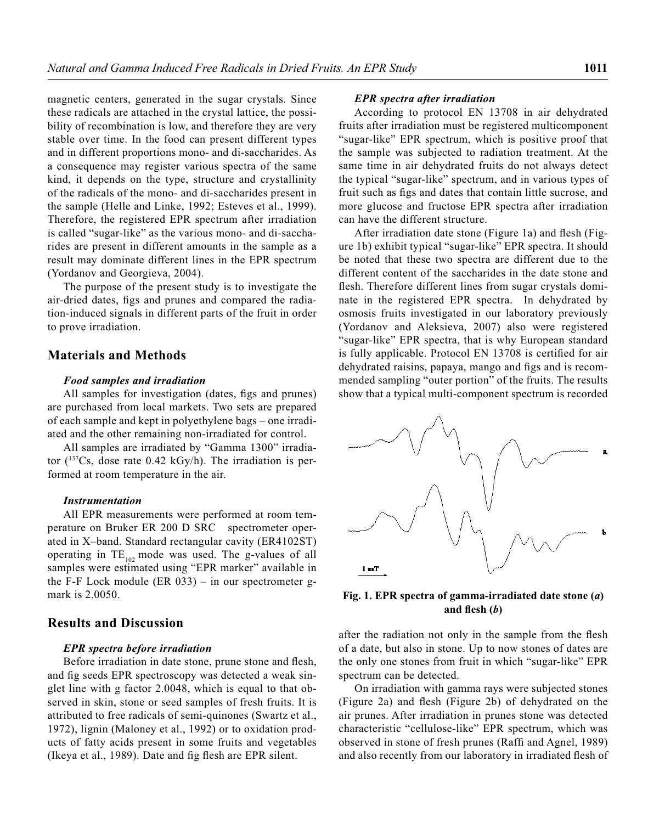magnetic centers, generated in the sugar crystals. Since these radicals are attached in the crystal lattice, the possibility of recombination is low, and therefore they are very stable over time. In the food can present different types and in different proportions mono- and di-saccharides. As a consequence may register various spectra of the same kind, it depends on the type, structure and crystallinity of the radicals of the mono- and di-saccharides present in the sample (Helle and Linke, 1992; Esteves et al., 1999). Therefore, the registered EPR spectrum after irradiation is called "sugar-like" as the various mono- and di-saccharides are present in different amounts in the sample as a result may dominate different lines in the EPR spectrum (Yordanov and Georgieva, 2004).

The purpose of the present study is to investigate the air-dried dates, figs and prunes and compared the radiation-induced signals in different parts of the fruit in order to prove irradiation.

# **Materials and Methods**

### *Food samples and irradiation*

All samples for investigation (dates, figs and prunes) are purchased from local markets. Two sets are prepared of each sample and kept in polyethylene bags – one irradiated and the other remaining non-irradiated for control.

All samples are irradiated by "Gamma 1300" irradiator (137Cs, dose rate 0.42 kGy/h). The irradiation is performed at room temperature in the air.

### *Instrumentation*

All EPR measurements were performed at room temperature on Bruker ER 200 D SRC spectrometer operated in X–band. Standard rectangular cavity (ER4102ST) operating in  $TE_{102}$  mode was used. The g-values of all samples were estimated using "EPR marker" available in the F-F Lock module (ER 033) – in our spectrometer gmark is 2.0050.

# **Results and Discussion**

#### *EPR spectra before irradiation*

Before irradiation in date stone, prune stone and flesh, and fig seeds EPR spectroscopy was detected a weak singlet line with g factor 2.0048, which is equal to that observed in skin, stone or seed samples of fresh fruits. It is attributed to free radicals of semi-quinones (Swartz et al., 1972), lignin (Maloney et al., 1992) or to oxidation products of fatty acids present in some fruits and vegetables (Ikeya et al., 1989). Date and fig flesh are EPR silent.

#### *EPR spectra after irradiation*

According to protocol EN 13708 in air dehydrated fruits after irradiation must be registered multicomponent "sugar-like" EPR spectrum, which is positive proof that the sample was subjected to radiation treatment. At the same time in air dehydrated fruits do not always detect the typical "sugar-like" spectrum, and in various types of fruit such as figs and dates that contain little sucrose, and more glucose and fructose EPR spectra after irradiation can have the different structure.

After irradiation date stone (Figure 1a) and flesh (Figure 1b) exhibit typical "sugar-like" EPR spectra. It should be noted that these two spectra are different due to the different content of the saccharides in the date stone and flesh. Therefore different lines from sugar crystals dominate in the registered EPR spectra. In dehydrated by osmosis fruits investigated in our laboratory previously (Yordanov and Aleksieva, 2007) also were registered "sugar-like" EPR spectra, that is why European standard is fully applicable. Protocol EN 13708 is certified for air dehydrated raisins, papaya, mango and figs and is recommended sampling "outer portion" of the fruits. The results show that a typical multi-component spectrum is recorded



**Fig. 1. EPR spectra of gamma-irradiated date stone (***a***)**  and flesh  $(b)$ 

after the radiation not only in the sample from the flesh of a date, but also in stone. Up to now stones of dates are the only one stones from fruit in which "sugar-like" EPR spectrum can be detected.

On irradiation with gamma rays were subjected stones (Figure 2a) and flesh (Figure 2b) of dehydrated on the air prunes. After irradiation in prunes stone was detected characteristic "cellulose-like" EPR spectrum, which was observed in stone of fresh prunes (Raffi and Agnel, 1989) and also recently from our laboratory in irradiated flesh of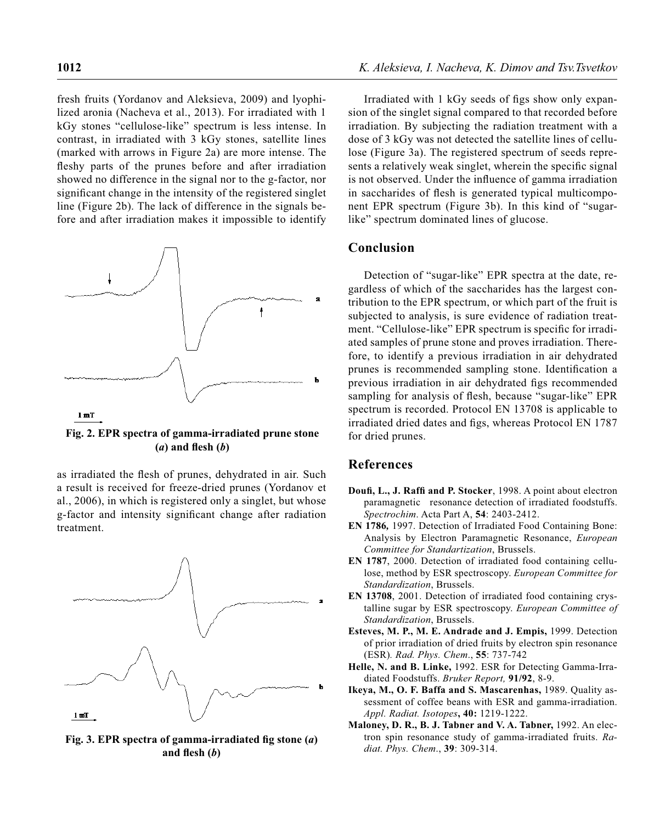fresh fruits (Yordanov and Aleksieva, 2009) and lyophilized aronia (Nacheva et al., 2013). For irradiated with 1 kGy stones "cellulose-like" spectrum is less intense. In contrast, in irradiated with 3 kGy stones, satellite lines (marked with arrows in Figure 2a) are more intense. The fleshy parts of the prunes before and after irradiation showed no difference in the signal nor to the g-factor, nor significant change in the intensity of the registered singlet line (Figure 2b). The lack of difference in the signals before and after irradiation makes it impossible to identify



**Fig. 2. EPR spectra of gamma-irradiated prune stone**   $(a)$  and flesh  $(b)$ 

as irradiated the flesh of prunes, dehydrated in air. Such a result is received for freeze-dried prunes (Yordanov et al., 2006), in which is registered only a singlet, but whose g-factor and intensity significant change after radiation treatment.



Fig. 3. EPR spectra of gamma-irradiated fig stone (*a*) and flesh  $(b)$ 

Irradiated with 1 kGy seeds of figs show only expansion of the singlet signal compared to that recorded before irradiation. By subjecting the radiation treatment with a dose of 3 kGy was not detected the satellite lines of cellulose (Figure 3a). The registered spectrum of seeds represents a relatively weak singlet, wherein the specific signal is not observed. Under the influence of gamma irradiation in saccharides of flesh is generated typical multicomponent EPR spectrum (Figure 3b). In this kind of "sugarlike" spectrum dominated lines of glucose.

# **Conclusion**

Detection of "sugar-like" EPR spectra at the date, regardless of which of the saccharides has the largest contribution to the EPR spectrum, or which part of the fruit is subjected to analysis, is sure evidence of radiation treatment. "Cellulose-like" EPR spectrum is specific for irradiated samples of prune stone and proves irradiation. Therefore, to identify a previous irradiation in air dehydrated prunes is recommended sampling stone. Identification a previous irradiation in air dehydrated figs recommended sampling for analysis of flesh, because "sugar-like" EPR spectrum is recorded. Protocol EN 13708 is applicable to irradiated dried dates and figs, whereas Protocol EN 1787 for dried prunes.

## **References**

- Doufi, L., J. Raffi and P. Stocker, 1998. A point about electron paramagnetic resonance detection of irradiated foodstuffs. *Spectrochim*. Acta Part A, **54**: 2403-2412.
- **EN 1786***,* 1997. Detection of Irradiated Food Containing Bone: Analysis by Electron Paramagnetic Resonance, *European Committee for Standartization*, Brussels.
- **ЕN 1787**, 2000. Detection of irradiated food containing cellulose, method by ESR spectroscopy. *European Committee for Standardization*, Brussels.
- **EN 13708**, 2001. Detection of irradiated food containing crystalline sugar by ESR spectroscopy. *European Committee of Standardization*, Brussels.
- **Esteves, M. P., M. E. Andrade and J. Empis,** 1999. Detection of prior irradiation of dried fruits by electron spin resonance (ESR)*. Rad. Phys. Chem*., **55**: 737-742
- **Helle, N. and B. Linke,** 1992. ESR for Detecting Gamma-Irradiated Foodstuffs. *Bruker Report,* **91/92**, 8-9.
- **Ikeya, M., O. F. Baffa and S. Mascarenhas,** 1989. Quality assessment of coffee beans with ESR and gamma-irradiation. *Appl. Radiat. Isotopes***, 40:** 1219-1222.
- **Maloney, D. R., B. J. Tabner and V. A. Tabner,** 1992. An electron spin resonance study of gamma-irradiated fruits. *Radiat. Phys. Chem*., **39**: 309-314.